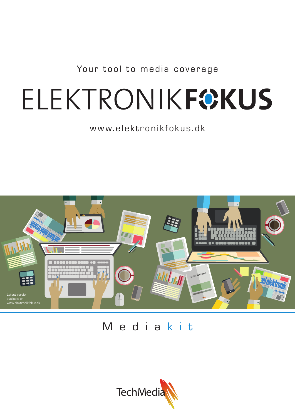Your tool to media coverage

# ELEKTRONIKFOKUS

# www.elektronikfokus.dk



# Media kit

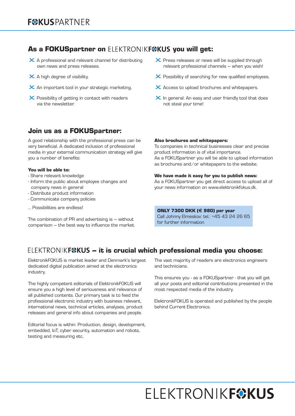## As a FOKUSpartner on ELEKTRONIKF®KUS you will get:

- $\times$  A professional and relevant channel for distributing own news and press releases.
- $\times$  A high degree of visibility.
- $\times$  An important tool in your strategic marketing.
- $\times$  Possibility of getting in contact with readers via the newsletter.

## Join us as a FOKUSpartner:

A good relationship with the professional press can be very beneficial. A dedicated inclusion of professional media in your external communication strategy will give you a number of benefits:

#### You will be able to:

- Share relevant knowledge
- Inform the public about employee changes and company news in general
- Distribute product information
- Communicate company policies
- … Possibilities are endless!

The combination of PR and advertising is – without comparison – the best way to influence the market.

#### $\chi$  Press releases or news will be supplied through relevant professional channels – when you wish!

- $\boldsymbol{\times}$  Possibility of searching for new qualified employees.
- $\boldsymbol{\times}$  Access to upload brochures and whitepapers.
- $\times$  In general: An easy and user friendly tool that does not steal your time!

#### Also brochures and whitepapers:

To companies in technical businesses clear and precise product information is of vital importance. As a FOKUSpartner you will be able to upload information as brochures and/or whitepapers to the website.

#### We have made it easy for you to publish news:

As a FOKUSpartner you get direct access to upload all of your news information on www.elektronikfokus.dk.

#### ONLY 7300 DKK (**e** 980) per year

Call Johnny Elmeskov: tel.: +45 43 24 26 65 for further information

## ELEKTRONIKF®KUS - it is crucial which professional media you choose:

ElektronikFOKUS is market leader and Denmark's largest dedicated digital publication aimed at the electronics industry.

The highly competent editorials of ElektronikFOKUS will ensure you a high level of seriousness and relevance of all published contents. Our primary task is to feed the professional electronic industry with business relevant, international news, technical articles, analyses, product releases and general info about companies and people.

Editorial focus is within: Production, design, development, embedded, IoT, cyber security, automation and robots, testing and measuring etc.

The vast majority of readers are electronics engineers and technicians.

This ensures you - as a FOKUSpartner - that you will get all your posts and editorial contributions presented in the most respected media of the industry.

ElektronikFOKUS is operated and published by the people behind Current Electronics.

# **FLEKTRONIKFOKUS**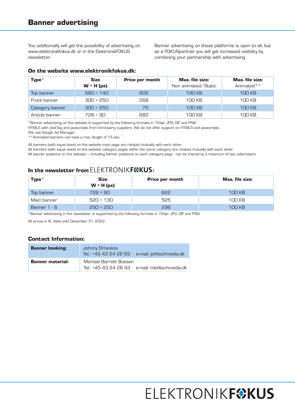You additionally will get the possibility of advertising on www.elektronikfokus.dk or in the ElektronikFOKUS newsletter.

Banner advertising on these platforms is open to all, but as a FOKUSpartner you will get increased visibility by combining your partnership with advertising.

#### On the website www.elektronikfokus.dk:

| Type $*$        | <b>Size</b><br>$W \times H$ (px) | Price per month | <b>Max.</b> file size:<br>Non animated/Static | <b>Max.</b> file size:<br>Animated** |
|-----------------|----------------------------------|-----------------|-----------------------------------------------|--------------------------------------|
| Top banner      | $560 \times 140$                 | 605             | 100 KB                                        | 100 KB                               |
| Front banner    | $300 \times 250$                 | 268             | 100 KB                                        | 100 KB                               |
| Category banner | $300 \times 250$                 | 75              | <b>100 KB</b>                                 | <b>100 KB</b>                        |
| Article banner  | $728 \times 90$                  | 682             | 100 KB                                        | 100 KB                               |

\*Banner advertising on the website is supported by the following formats in 72dpi: JPG, GIF and PNG.

HTML5 with clickTag and javascripts from third-party suppliers. We do not offer support on HTML5 and javascripts.

We use Google Ad Manager.

\*\*Animated banners can have a max. length of 15 sec.

All banners (with equal sizes) on the website main page are rotated mutually with each other.

All banners (with equal sizes) on the website category pages within the same category are rotated mutually with each other.

All banner positions on the website – including banner positions on each category page - can be shared by a maximum of two advertisers.

## In the newsletter from  $ELEKTRONIK$   $F@KUS$ :

| Type $*$     | <b>Size</b><br>$W \times H$ (px) | <b>Price per month</b> | <b>Max.</b> file size: |
|--------------|----------------------------------|------------------------|------------------------|
| Top banner   | $728 \times 90$                  | 622                    | 100 KB                 |
| Main banner  | $520 \times 130$                 | 525                    | 100 KB                 |
| Banner 1 - 6 | $250 \times 250$                 | 296                    | <b>100 KB</b>          |

\*Banner advertising in the newsletter is supported by the following formats in 72dpi: JPG, GIF and PNG.

All prices in €. Valid until December 31, 2022.

#### Contact Information:

| <b>Banner booking:</b>  | Johnny Elmeskov<br>Tel.: +45 43 24 26 65 · e-mail: je@techmedia.dk                |  |
|-------------------------|-----------------------------------------------------------------------------------|--|
| <b>Banner material:</b> | Michael Barrett Boesen<br>Tel.: $+45$ 43 24 26 43 $\cdot$ e-mail: mb@techmedia.dk |  |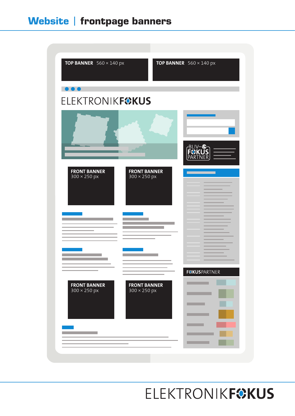

**ELEKTRONIKFOKUS**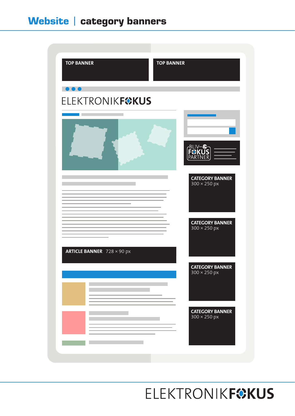

**ELEKTRONIKFOKUS**